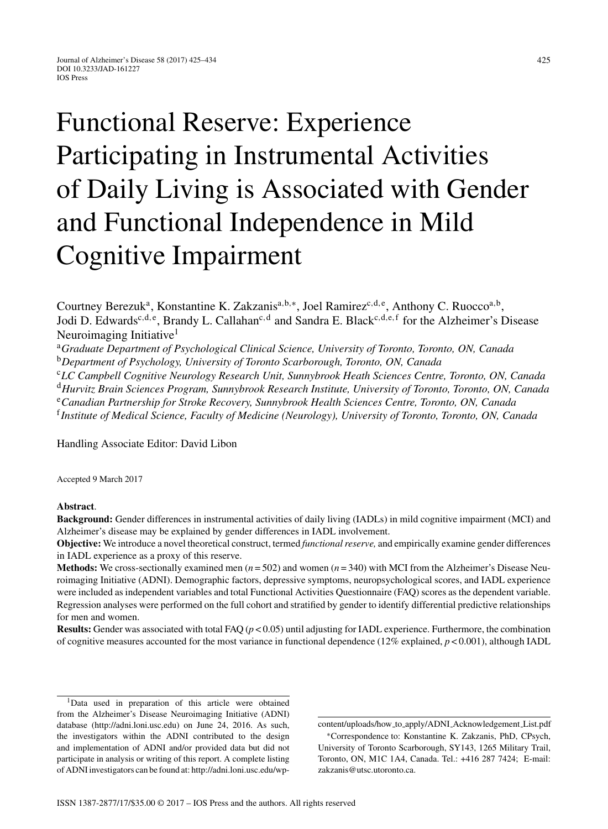# Functional Reserve: Experience Participating in Instrumental Activities of Daily Living is Associated with Gender and Functional Independence in Mild Cognitive Impairment

425

Courtney Berezuk<sup>a</sup>, Konstantine K. Zakzanis<sup>a, b,∗</sup>, Joel Ramirez<sup>c, d, e</sup>, Anthony C. Ruocco<sup>a, b</sup>, Jodi D. Edwards<sup>c,d,e</sup>, Brandy L. Callahan<sup>c,d</sup> and Sandra E. Black<sup>c,d,e,f</sup> for the Alzheimer's Disease Neuroimaging Initiative<sup>1</sup>

<sup>a</sup>*Graduate Department of Psychological Clinical Science, University of Toronto, Toronto, ON, Canada* <sup>b</sup>*Department of Psychology, University of Toronto Scarborough, Toronto, ON, Canada*

<sup>c</sup>*LC Campbell Cognitive Neurology Research Unit, Sunnybrook Heath Sciences Centre, Toronto, ON, Canada*

<sup>d</sup>*Hurvitz Brain Sciences Program, Sunnybrook Research Institute, University of Toronto, Toronto, ON, Canada*

<sup>e</sup>*Canadian Partnership for Stroke Recovery, Sunnybrook Health Sciences Centre, Toronto, ON, Canada*

<sup>f</sup>*Institute of Medical Science, Faculty of Medicine (Neurology), University of Toronto, Toronto, ON, Canada*

Handling Associate Editor: David Libon

Accepted 9 March 2017

#### **Abstract**.

**Background:** Gender differences in instrumental activities of daily living (IADLs) in mild cognitive impairment (MCI) and Alzheimer's disease may be explained by gender differences in IADL involvement.

**Objective:** We introduce a novel theoretical construct, termed *functional reserve,* and empirically examine gender differences in IADL experience as a proxy of this reserve.

**Methods:** We cross-sectionally examined men (*n* = 502) and women (*n* = 340) with MCI from the Alzheimer's Disease Neuroimaging Initiative (ADNI). Demographic factors, depressive symptoms, neuropsychological scores, and IADL experience were included as independent variables and total Functional Activities Questionnaire (FAQ) scores as the dependent variable. Regression analyses were performed on the full cohort and stratified by gender to identify differential predictive relationships for men and women.

**Results:** Gender was associated with total FAQ (*p* < 0.05) until adjusting for IADL experience. Furthermore, the combination of cognitive measures accounted for the most variance in functional dependence (12% explained,  $p < 0.001$ ), although IADL

[content/uploads/how](http://adni.loni.usc.edu/wp-content/uploads/how_to_apply/ADNI_Acknowledgement_List.pdf) to apply/ADNI Acknowledgement List.pdf

<sup>&</sup>lt;sup>1</sup>Data used in preparation of this article were obtained from the Alzheimer's Disease Neuroimaging Initiative (ADNI) database (<http://adni.loni.usc.edu>) on June 24, 2016. As such, the investigators within the ADNI contributed to the design and implementation of ADNI and/or provided data but did not participate in analysis or writing of this report. A complete listing of ADNI investigators can be found at: [http://adni.loni.usc.edu/wp-](http://adni.loni.usc.edu/wp-content/uploads/how_to_apply/ADNI_Acknowledgement_List.pdf)

<sup>∗</sup>Correspondence to: Konstantine K. Zakzanis, PhD, CPsych, University of Toronto Scarborough, SY143, 1265 Military Trail, Toronto, ON, M1C 1A4, Canada. Tel.: +416 287 7424; E-mail: [zakzanis@utsc.utoronto.ca.](mailto:zakzanis@utsc.utoronto.ca)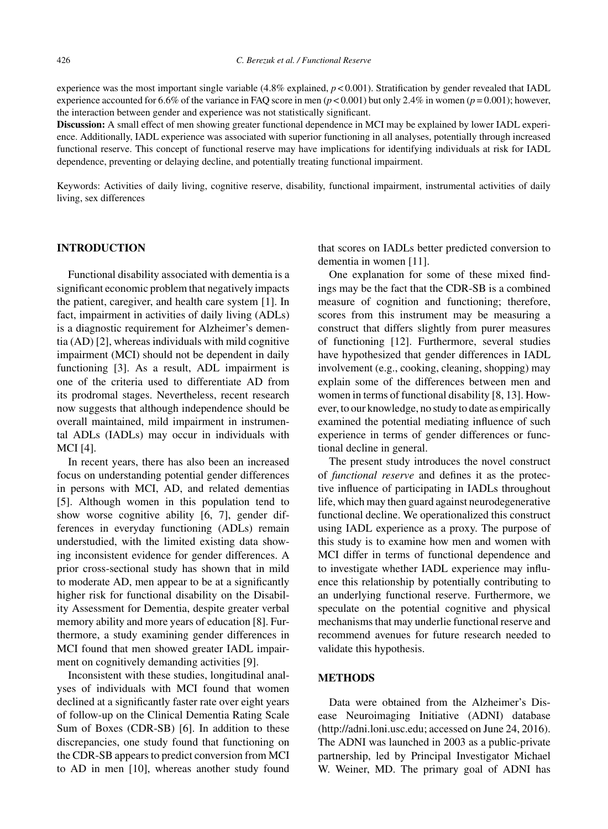experience was the most important single variable  $(4.8\%$  explained,  $p < 0.001$ ). Stratification by gender revealed that IADL experience accounted for 6.6% of the variance in FAQ score in men  $(p < 0.001)$  but only 2.4% in women  $(p = 0.001)$ ; however, the interaction between gender and experience was not statistically significant.

**Discussion:** A small effect of men showing greater functional dependence in MCI may be explained by lower IADL experience. Additionally, IADL experience was associated with superior functioning in all analyses, potentially through increased functional reserve. This concept of functional reserve may have implications for identifying individuals at risk for IADL dependence, preventing or delaying decline, and potentially treating functional impairment.

Keywords: Activities of daily living, cognitive reserve, disability, functional impairment, instrumental activities of daily living, sex differences

#### **INTRODUCTION**

Functional disability associated with dementia is a significant economic problem that negatively impacts the patient, caregiver, and health care system [1]. In fact, impairment in activities of daily living (ADLs) is a diagnostic requirement for Alzheimer's dementia (AD) [2], whereas individuals with mild cognitive impairment (MCI) should not be dependent in daily functioning [3]. As a result, ADL impairment is one of the criteria used to differentiate AD from its prodromal stages. Nevertheless, recent research now suggests that although independence should be overall maintained, mild impairment in instrumental ADLs (IADLs) may occur in individuals with MCI [4].

In recent years, there has also been an increased focus on understanding potential gender differences in persons with MCI, AD, and related dementias [5]. Although women in this population tend to show worse cognitive ability [6, 7], gender differences in everyday functioning (ADLs) remain understudied, with the limited existing data showing inconsistent evidence for gender differences. A prior cross-sectional study has shown that in mild to moderate AD, men appear to be at a significantly higher risk for functional disability on the Disability Assessment for Dementia, despite greater verbal memory ability and more years of education [8]. Furthermore, a study examining gender differences in MCI found that men showed greater IADL impairment on cognitively demanding activities [9].

Inconsistent with these studies, longitudinal analyses of individuals with MCI found that women declined at a significantly faster rate over eight years of follow-up on the Clinical Dementia Rating Scale Sum of Boxes (CDR-SB) [6]. In addition to these discrepancies, one study found that functioning on the CDR-SB appears to predict conversion from MCI to AD in men [10], whereas another study found that scores on IADLs better predicted conversion to dementia in women [11].

One explanation for some of these mixed findings may be the fact that the CDR-SB is a combined measure of cognition and functioning; therefore, scores from this instrument may be measuring a construct that differs slightly from purer measures of functioning [12]. Furthermore, several studies have hypothesized that gender differences in IADL involvement (e.g., cooking, cleaning, shopping) may explain some of the differences between men and women in terms of functional disability [8, 13]. However, to our knowledge, no study to date as empirically examined the potential mediating influence of such experience in terms of gender differences or functional decline in general.

The present study introduces the novel construct of *functional reserve* and defines it as the protective influence of participating in IADLs throughout life, which may then guard against neurodegenerative functional decline. We operationalized this construct using IADL experience as a proxy. The purpose of this study is to examine how men and women with MCI differ in terms of functional dependence and to investigate whether IADL experience may influence this relationship by potentially contributing to an underlying functional reserve. Furthermore, we speculate on the potential cognitive and physical mechanisms that may underlie functional reserve and recommend avenues for future research needed to validate this hypothesis.

## **METHODS**

Data were obtained from the Alzheimer's Disease Neuroimaging Initiative (ADNI) database [\(http://adni.loni.usc.edu;](http://adni.loni.usc.edu) accessed on June 24, 2016). The ADNI was launched in 2003 as a public-private partnership, led by Principal Investigator Michael W. Weiner, MD. The primary goal of ADNI has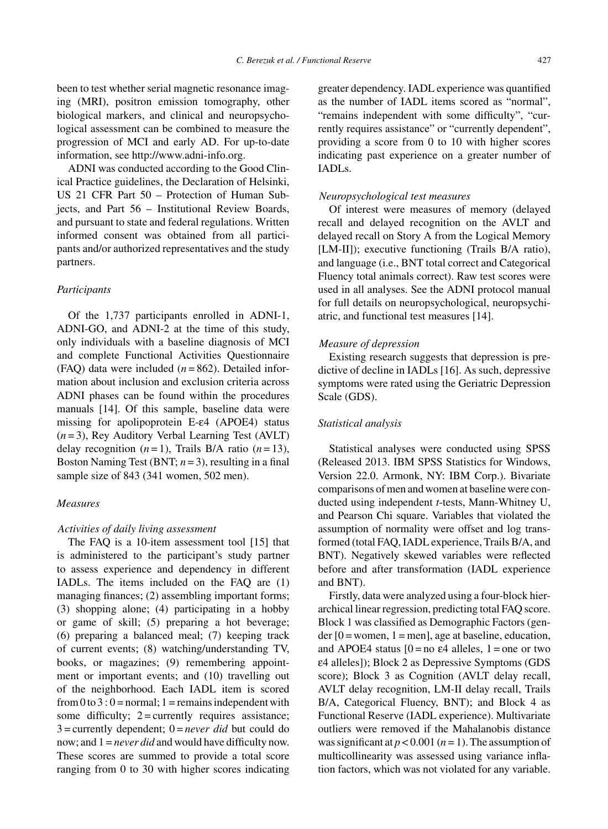been to test whether serial magnetic resonance imaging (MRI), positron emission tomography, other biological markers, and clinical and neuropsychological assessment can be combined to measure the progression of MCI and early AD. For up-to-date information, see [http://www.adni-info.org.](http://www.adni-info.org)

ADNI was conducted according to the Good Clinical Practice guidelines, the Declaration of Helsinki, US 21 CFR Part 50 – Protection of Human Subjects, and Part 56 – Institutional Review Boards, and pursuant to state and federal regulations. Written informed consent was obtained from all participants and/or authorized representatives and the study partners.

## *Participants*

Of the 1,737 participants enrolled in ADNI-1, ADNI-GO, and ADNI-2 at the time of this study, only individuals with a baseline diagnosis of MCI and complete Functional Activities Questionnaire (FAQ) data were included  $(n = 862)$ . Detailed information about inclusion and exclusion criteria across ADNI phases can be found within the procedures manuals [14]. Of this sample, baseline data were missing for apolipoprotein E-ε4 (APOE4) status  $(n=3)$ , Rey Auditory Verbal Learning Test (AVLT) delay recognition  $(n=1)$ , Trails B/A ratio  $(n=13)$ , Boston Naming Test (BNT;  $n = 3$ ), resulting in a final sample size of 843 (341 women, 502 men).

## *Measures*

#### *Activities of daily living assessment*

The FAQ is a 10-item assessment tool [15] that is administered to the participant's study partner to assess experience and dependency in different IADLs. The items included on the FAQ are (1) managing finances; (2) assembling important forms; (3) shopping alone; (4) participating in a hobby or game of skill; (5) preparing a hot beverage; (6) preparing a balanced meal; (7) keeping track of current events; (8) watching/understanding TV, books, or magazines; (9) remembering appointment or important events; and (10) travelling out of the neighborhood. Each IADL item is scored from  $0$  to  $3:0$  = normal; 1 = remains independent with some difficulty;  $2 =$  currently requires assistance;  $3 =$  currently dependent;  $0 =$ *never did* but could do now; and 1 = *never did* and would have difficulty now. These scores are summed to provide a total score ranging from 0 to 30 with higher scores indicating greater dependency. IADL experience was quantified as the number of IADL items scored as "normal", "remains independent with some difficulty", "currently requires assistance" or "currently dependent", providing a score from 0 to 10 with higher scores indicating past experience on a greater number of IADLs.

### *Neuropsychological test measures*

Of interest were measures of memory (delayed recall and delayed recognition on the AVLT and delayed recall on Story A from the Logical Memory [LM-II]); executive functioning (Trails B/A ratio), and language (i.e., BNT total correct and Categorical Fluency total animals correct). Raw test scores were used in all analyses. See the ADNI protocol manual for full details on neuropsychological, neuropsychiatric, and functional test measures [14].

#### *Measure of depression*

Existing research suggests that depression is predictive of decline in IADLs [16]. As such, depressive symptoms were rated using the Geriatric Depression Scale (GDS).

#### *Statistical analysis*

Statistical analyses were conducted using SPSS (Released 2013. IBM SPSS Statistics for Windows, Version 22.0. Armonk, NY: IBM Corp.). Bivariate comparisons of men and women at baseline were conducted using independent *t*-tests, Mann-Whitney U, and Pearson Chi square. Variables that violated the assumption of normality were offset and log transformed (total FAQ, IADL experience, Trails B/A, and BNT). Negatively skewed variables were reflected before and after transformation (IADL experience and BNT).

Firstly, data were analyzed using a four-block hierarchical linear regression, predicting total FAQ score. Block 1 was classified as Demographic Factors (gen $der [0 = women, 1 = men], age at baseline, education,$ and APOE4 status  $[0 = no \; \varepsilon 4 \; \text{alleles}, \; 1 = one \; \text{or} \; \text{two}$ ε4 alleles]); Block 2 as Depressive Symptoms (GDS score); Block 3 as Cognition (AVLT delay recall, AVLT delay recognition, LM-II delay recall, Trails B/A, Categorical Fluency, BNT); and Block 4 as Functional Reserve (IADL experience). Multivariate outliers were removed if the Mahalanobis distance was significant at  $p < 0.001$  ( $n = 1$ ). The assumption of multicollinearity was assessed using variance inflation factors, which was not violated for any variable.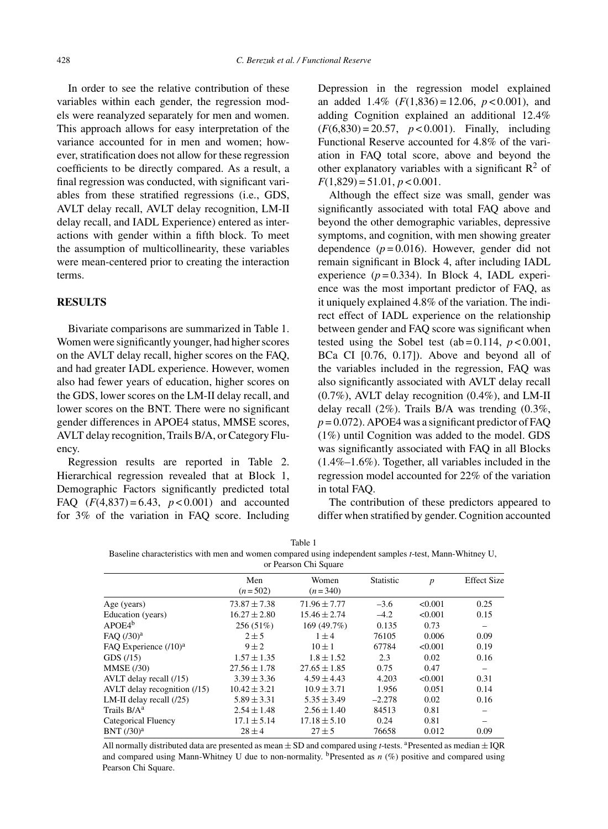In order to see the relative contribution of these variables within each gender, the regression models were reanalyzed separately for men and women. This approach allows for easy interpretation of the variance accounted for in men and women; however, stratification does not allow for these regression coefficients to be directly compared. As a result, a final regression was conducted, with significant variables from these stratified regressions (i.e., GDS, AVLT delay recall, AVLT delay recognition, LM-II delay recall, and IADL Experience) entered as interactions with gender within a fifth block. To meet the assumption of multicollinearity, these variables were mean-centered prior to creating the interaction terms.

#### **RESULTS**

Bivariate comparisons are summarized in Table 1. Women were significantly younger, had higher scores on the AVLT delay recall, higher scores on the FAQ, and had greater IADL experience. However, women also had fewer years of education, higher scores on the GDS, lower scores on the LM-II delay recall, and lower scores on the BNT. There were no significant gender differences in APOE4 status, MMSE scores, AVLT delay recognition, Trails B/A, or Category Fluency.

Regression results are reported in Table 2. Hierarchical regression revealed that at Block 1, Demographic Factors significantly predicted total FAQ  $(F(4,837) = 6.43, p < 0.001)$  and accounted for 3% of the variation in FAQ score. Including Depression in the regression model explained an added  $1.4\%$  ( $F(1,836) = 12.06$ ,  $p < 0.001$ ), and adding Cognition explained an additional 12.4%  $(F(6,830) = 20.57, p < 0.001)$ . Finally, including Functional Reserve accounted for 4.8% of the variation in FAQ total score, above and beyond the other explanatory variables with a significant  $R^2$  of *F*(1,829) = 51.01, *p* < 0.001.

Although the effect size was small, gender was significantly associated with total FAQ above and beyond the other demographic variables, depressive symptoms, and cognition, with men showing greater dependence  $(p=0.016)$ . However, gender did not remain significant in Block 4, after including IADL experience  $(p=0.334)$ . In Block 4, IADL experience was the most important predictor of FAQ, as it uniquely explained 4.8% of the variation. The indirect effect of IADL experience on the relationship between gender and FAQ score was significant when tested using the Sobel test (ab =  $0.114$ ,  $p < 0.001$ , BCa CI [0.76, 0.17]). Above and beyond all of the variables included in the regression, FAQ was also significantly associated with AVLT delay recall (0.7%), AVLT delay recognition (0.4%), and LM-II delay recall (2%). Trails B/A was trending (0.3%,  $p = 0.072$ ). APOE4 was a significant predictor of FAQ (1%) until Cognition was added to the model. GDS was significantly associated with FAQ in all Blocks (1.4%–1.6%). Together, all variables included in the regression model accounted for 22% of the variation in total FAQ.

The contribution of these predictors appeared to differ when stratified by gender. Cognition accounted

| Table 1                                                                                                |
|--------------------------------------------------------------------------------------------------------|
| Baseline characteristics with men and women compared using independent samples t-test, Mann-Whitney U, |
| or Pearson Chi Square                                                                                  |

|                               | Men<br>$(n=502)$ | Women<br>$(n=340)$ | <b>Statistic</b> | $\boldsymbol{p}$ | <b>Effect Size</b> |  |
|-------------------------------|------------------|--------------------|------------------|------------------|--------------------|--|
| Age (years)                   | $73.87 \pm 7.38$ | $71.96 \pm 7.77$   | $-3.6$           | < 0.001          | 0.25               |  |
| Education (years)             | $16.27 \pm 2.80$ | $15.46 \pm 2.74$   | $-4.2$           | < 0.001          | 0.15               |  |
| APOE4 <sup>b</sup>            | $256(51\%)$      | 169 (49.7%)        | 0.135            | 0.73             |                    |  |
| FAO $(30)^a$                  | $2 + 5$          | $1 + 4$            | 76105            | 0.006            | 0.09               |  |
| FAO Experience $(10)^a$       | $9\pm 2$         | $10 + 1$           | 67784            | < 0.001          | 0.19               |  |
| GDS (/15)                     | $1.57 \pm 1.35$  | $1.8 \pm 1.52$     | 2.3              | 0.02             | 0.16               |  |
| MMSE (/30)                    | $27.56 \pm 1.78$ | $27.65 \pm 1.85$   | 0.75             | 0.47             |                    |  |
| $AVLT$ delay recall $(15)$    | $3.39 \pm 3.36$  | $4.59 \pm 4.43$    | 4.203            | < 0.001          | 0.31               |  |
| AVLT delay recognition $(15)$ | $10.42 \pm 3.21$ | $10.9 \pm 3.71$    | 1.956            | 0.051            | 0.14               |  |
| LM-II delay recall $(25)$     | $5.89 \pm 3.31$  | $5.35 \pm 3.49$    | $-2.278$         | 0.02             | 0.16               |  |
| Trails B/A <sup>a</sup>       | $2.54 \pm 1.48$  | $2.56 \pm 1.40$    | 84513            | 0.81             |                    |  |
| Categorical Fluency           | $17.1 \pm 5.14$  | $17.18 \pm 5.10$   | 0.24             | 0.81             |                    |  |
| $BNT (730)^{a}$               | $28 \pm 4$       | $27 \pm 5$         | 76658            | 0.012            | 0.09               |  |

All normally distributed data are presented as mean  $\pm$  SD and compared using *t*-tests. <sup>a</sup>Presented as median  $\pm$  IQR and compared using Mann-Whitney U due to non-normality. bPresented as *n* (%) positive and compared using Pearson Chi Square.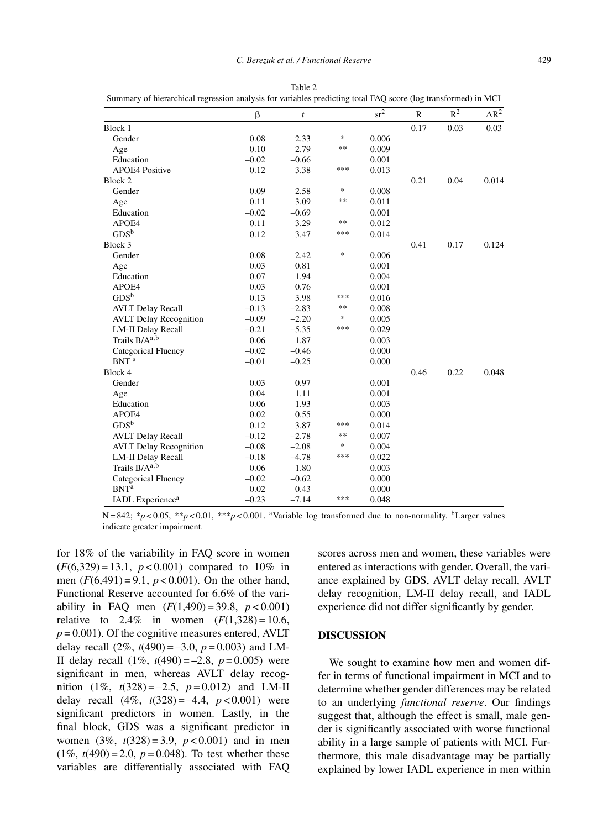|                                     | β       | $\boldsymbol{t}$ |               | $sr^2$ | $\mathbb{R}$ | $R^2$ | $\Delta R^2$ |
|-------------------------------------|---------|------------------|---------------|--------|--------------|-------|--------------|
| Block 1                             |         |                  |               |        | 0.17         | 0.03  | 0.03         |
| Gender                              | 0.08    | 2.33             | ∗             | 0.006  |              |       |              |
| Age                                 | 0.10    | 2.79             | $**$          | 0.009  |              |       |              |
| Education                           | $-0.02$ | $-0.66$          |               | 0.001  |              |       |              |
| <b>APOE4 Positive</b>               | 0.12    | 3.38             | ***           | 0.013  |              |       |              |
| Block 2                             |         |                  |               |        | 0.21         | 0.04  | 0.014        |
| Gender                              | 0.09    | 2.58             | ∗             | 0.008  |              |       |              |
| Age                                 | 0.11    | 3.09             | $\ast$ $\ast$ | 0.011  |              |       |              |
| Education                           | $-0.02$ | $-0.69$          |               | 0.001  |              |       |              |
| APOE4                               | 0.11    | 3.29             | $\ast$ $\ast$ | 0.012  |              |       |              |
| $GDS^b$                             | 0.12    | 3.47             | ***           | 0.014  |              |       |              |
| Block 3                             |         |                  |               |        | 0.41         | 0.17  | 0.124        |
| Gender                              | 0.08    | 2.42             | ∗             | 0.006  |              |       |              |
| Age                                 | 0.03    | 0.81             |               | 0.001  |              |       |              |
| Education                           | 0.07    | 1.94             |               | 0.004  |              |       |              |
| APOE4                               | 0.03    | 0.76             |               | 0.001  |              |       |              |
| $GDS^b$                             | 0.13    | 3.98             | ***           | 0.016  |              |       |              |
| <b>AVLT Delay Recall</b>            | $-0.13$ | $-2.83$          | $**$          | 0.008  |              |       |              |
| <b>AVLT Delay Recognition</b>       | $-0.09$ | $-2.20$          | $\ast$        | 0.005  |              |       |              |
| <b>LM-II Delay Recall</b>           | $-0.21$ | $-5.35$          | ***           | 0.029  |              |       |              |
| Trails $B/A^{a,b}$                  | 0.06    | 1.87             |               | 0.003  |              |       |              |
| Categorical Fluency                 | $-0.02$ | $-0.46$          |               | 0.000  |              |       |              |
| BNT <sup>a</sup>                    | $-0.01$ | $-0.25$          |               | 0.000  |              |       |              |
| Block 4                             |         |                  |               |        | 0.46         | 0.22  | 0.048        |
| Gender                              | 0.03    | 0.97             |               | 0.001  |              |       |              |
| Age                                 | 0.04    | 1.11             |               | 0.001  |              |       |              |
| Education                           | 0.06    | 1.93             |               | 0.003  |              |       |              |
| APOE4                               | 0.02    | 0.55             |               | 0.000  |              |       |              |
| $GDS^b$                             | 0.12    | 3.87             | ***           | 0.014  |              |       |              |
| <b>AVLT Delay Recall</b>            | $-0.12$ | $-2.78$          | $\ast$ $\ast$ | 0.007  |              |       |              |
| <b>AVLT Delay Recognition</b>       | $-0.08$ | $-2.08$          | *             | 0.004  |              |       |              |
| <b>LM-II Delay Recall</b>           | $-0.18$ | $-4.78$          | ***           | 0.022  |              |       |              |
| Trails $B/A^{a,b}$                  | 0.06    | 1.80             |               | 0.003  |              |       |              |
| Categorical Fluency                 | $-0.02$ | $-0.62$          |               | 0.000  |              |       |              |
| <b>BNT</b> <sup>a</sup>             | 0.02    | 0.43             |               | 0.000  |              |       |              |
| <b>IADL</b> Experience <sup>a</sup> | $-0.23$ | $-7.14$          | ***           | 0.048  |              |       |              |

Table 2

 $N = 842$ ;  $* p < 0.05$ ,  $* p < 0.01$ ,  $* * p < 0.001$ . <sup>a</sup>Variable log transformed due to non-normality. <sup>b</sup>Larger values indicate greater impairment.

for 18% of the variability in FAQ score in women  $(F(6,329) = 13.1, p < 0.001)$  compared to 10% in men (*F*(6,491) = 9.1, *p* < 0.001). On the other hand, Functional Reserve accounted for 6.6% of the variability in FAQ men  $(F(1,490) = 39.8, p < 0.001)$ relative to 2.4% in women  $(F(1,328) = 10.6,$  $p = 0.001$ ). Of the cognitive measures entered, AVLT delay recall  $(2\%, t(490) = -3.0, p = 0.003)$  and LM-II delay recall  $(1\%, t(490) = -2.8, p = 0.005)$  were significant in men, whereas AVLT delay recognition  $(1\%, t(328) = -2.5, p = 0.012)$  and LM-II delay recall  $(4\%, t(328) = -4.4, p < 0.001)$  were significant predictors in women. Lastly, in the final block, GDS was a significant predictor in women  $(3\%, t(328) = 3.9, p < 0.001)$  and in men  $(1\%, t(490) = 2.0, p = 0.048)$ . To test whether these variables are differentially associated with FAQ scores across men and women, these variables were entered as interactions with gender. Overall, the variance explained by GDS, AVLT delay recall, AVLT delay recognition, LM-II delay recall, and IADL experience did not differ significantly by gender.

#### **DISCUSSION**

We sought to examine how men and women differ in terms of functional impairment in MCI and to determine whether gender differences may be related to an underlying *functional reserve*. Our findings suggest that, although the effect is small, male gender is significantly associated with worse functional ability in a large sample of patients with MCI. Furthermore, this male disadvantage may be partially explained by lower IADL experience in men within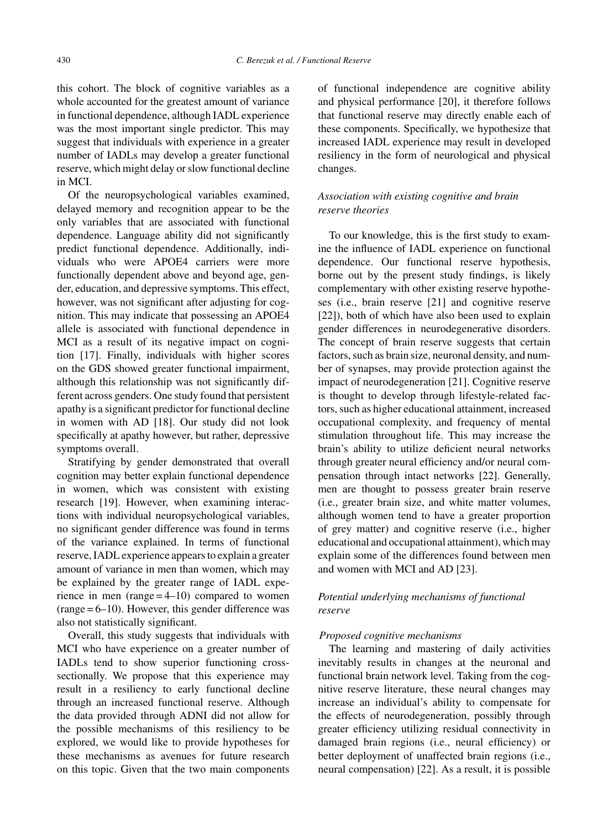this cohort. The block of cognitive variables as a whole accounted for the greatest amount of variance in functional dependence, although IADL experience was the most important single predictor. This may suggest that individuals with experience in a greater number of IADLs may develop a greater functional reserve, which might delay or slow functional decline in MCI.

Of the neuropsychological variables examined, delayed memory and recognition appear to be the only variables that are associated with functional dependence. Language ability did not significantly predict functional dependence. Additionally, individuals who were APOE4 carriers were more functionally dependent above and beyond age, gender, education, and depressive symptoms. This effect, however, was not significant after adjusting for cognition. This may indicate that possessing an APOE4 allele is associated with functional dependence in MCI as a result of its negative impact on cognition [17]. Finally, individuals with higher scores on the GDS showed greater functional impairment, although this relationship was not significantly different across genders. One study found that persistent apathy is a significant predictor for functional decline in women with AD [18]. Our study did not look specifically at apathy however, but rather, depressive symptoms overall.

Stratifying by gender demonstrated that overall cognition may better explain functional dependence in women, which was consistent with existing research [19]. However, when examining interactions with individual neuropsychological variables, no significant gender difference was found in terms of the variance explained. In terms of functional reserve, IADL experience appears to explain a greater amount of variance in men than women, which may be explained by the greater range of IADL experience in men  $(range=4-10)$  compared to women  $(range = 6-10)$ . However, this gender difference was also not statistically significant.

Overall, this study suggests that individuals with MCI who have experience on a greater number of IADLs tend to show superior functioning crosssectionally. We propose that this experience may result in a resiliency to early functional decline through an increased functional reserve. Although the data provided through ADNI did not allow for the possible mechanisms of this resiliency to be explored, we would like to provide hypotheses for these mechanisms as avenues for future research on this topic. Given that the two main components

of functional independence are cognitive ability and physical performance [20], it therefore follows that functional reserve may directly enable each of these components. Specifically, we hypothesize that increased IADL experience may result in developed resiliency in the form of neurological and physical changes.

# *Association with existing cognitive and brain reserve theories*

To our knowledge, this is the first study to examine the influence of IADL experience on functional dependence. Our functional reserve hypothesis, borne out by the present study findings, is likely complementary with other existing reserve hypotheses (i.e., brain reserve [21] and cognitive reserve [22]), both of which have also been used to explain gender differences in neurodegenerative disorders. The concept of brain reserve suggests that certain factors, such as brain size, neuronal density, and number of synapses, may provide protection against the impact of neurodegeneration [21]. Cognitive reserve is thought to develop through lifestyle-related factors, such as higher educational attainment, increased occupational complexity, and frequency of mental stimulation throughout life. This may increase the brain's ability to utilize deficient neural networks through greater neural efficiency and/or neural compensation through intact networks [22]. Generally, men are thought to possess greater brain reserve (i.e., greater brain size, and white matter volumes, although women tend to have a greater proportion of grey matter) and cognitive reserve (i.e., higher educational and occupational attainment), which may explain some of the differences found between men and women with MCI and AD [23].

# *Potential underlying mechanisms of functional reserve*

## *Proposed cognitive mechanisms*

The learning and mastering of daily activities inevitably results in changes at the neuronal and functional brain network level. Taking from the cognitive reserve literature, these neural changes may increase an individual's ability to compensate for the effects of neurodegeneration, possibly through greater efficiency utilizing residual connectivity in damaged brain regions (i.e., neural efficiency) or better deployment of unaffected brain regions (i.e., neural compensation) [22]. As a result, it is possible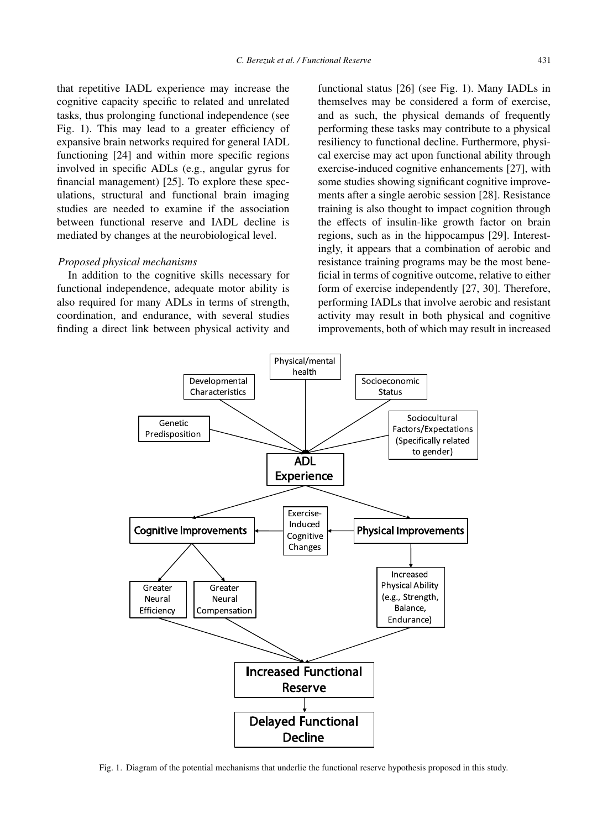that repetitive IADL experience may increase the cognitive capacity specific to related and unrelated tasks, thus prolonging functional independence (see Fig. 1). This may lead to a greater efficiency of expansive brain networks required for general IADL functioning [24] and within more specific regions involved in specific ADLs (e.g., angular gyrus for financial management) [25]. To explore these speculations, structural and functional brain imaging studies are needed to examine if the association between functional reserve and IADL decline is mediated by changes at the neurobiological level.

#### *Proposed physical mechanisms*

In addition to the cognitive skills necessary for functional independence, adequate motor ability is also required for many ADLs in terms of strength, coordination, and endurance, with several studies finding a direct link between physical activity and

functional status [26] (see Fig. 1). Many IADLs in themselves may be considered a form of exercise, and as such, the physical demands of frequently performing these tasks may contribute to a physical resiliency to functional decline. Furthermore, physical exercise may act upon functional ability through exercise-induced cognitive enhancements [27], with some studies showing significant cognitive improvements after a single aerobic session [28]. Resistance training is also thought to impact cognition through the effects of insulin-like growth factor on brain regions, such as in the hippocampus [29]. Interestingly, it appears that a combination of aerobic and resistance training programs may be the most beneficial in terms of cognitive outcome, relative to either form of exercise independently [27, 30]. Therefore, performing IADLs that involve aerobic and resistant activity may result in both physical and cognitive improvements, both of which may result in increased



Fig. 1. Diagram of the potential mechanisms that underlie the functional reserve hypothesis proposed in this study.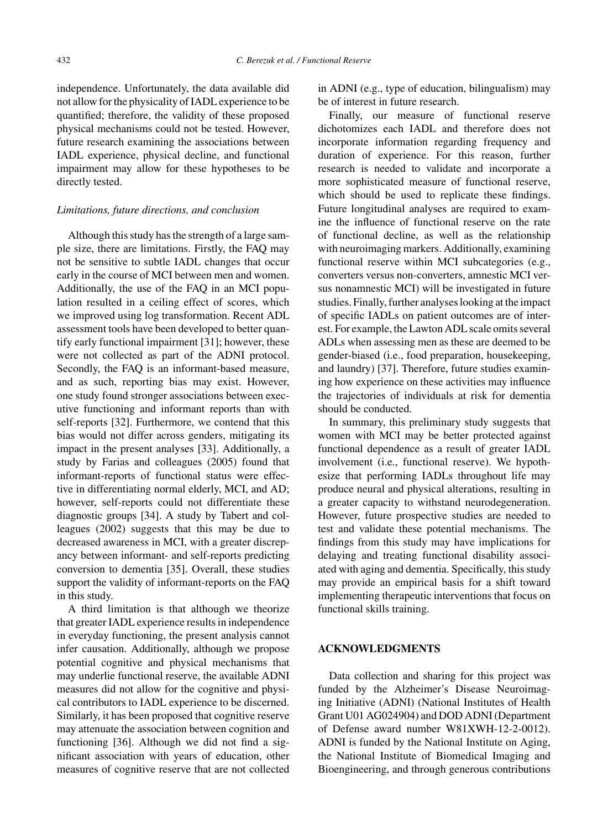independence. Unfortunately, the data available did not allow for the physicality of IADL experience to be quantified; therefore, the validity of these proposed physical mechanisms could not be tested. However, future research examining the associations between IADL experience, physical decline, and functional impairment may allow for these hypotheses to be directly tested.

#### *Limitations, future directions, and conclusion*

Although this study has the strength of a large sample size, there are limitations. Firstly, the FAQ may not be sensitive to subtle IADL changes that occur early in the course of MCI between men and women. Additionally, the use of the FAQ in an MCI population resulted in a ceiling effect of scores, which we improved using log transformation. Recent ADL assessment tools have been developed to better quantify early functional impairment [31]; however, these were not collected as part of the ADNI protocol. Secondly, the FAQ is an informant-based measure, and as such, reporting bias may exist. However, one study found stronger associations between executive functioning and informant reports than with self-reports [32]. Furthermore, we contend that this bias would not differ across genders, mitigating its impact in the present analyses [33]. Additionally, a study by Farias and colleagues (2005) found that informant-reports of functional status were effective in differentiating normal elderly, MCI, and AD; however, self-reports could not differentiate these diagnostic groups [34]. A study by Tabert and colleagues (2002) suggests that this may be due to decreased awareness in MCI, with a greater discrepancy between informant- and self-reports predicting conversion to dementia [35]. Overall, these studies support the validity of informant-reports on the FAQ in this study.

A third limitation is that although we theorize that greater IADL experience results in independence in everyday functioning, the present analysis cannot infer causation. Additionally, although we propose potential cognitive and physical mechanisms that may underlie functional reserve, the available ADNI measures did not allow for the cognitive and physical contributors to IADL experience to be discerned. Similarly, it has been proposed that cognitive reserve may attenuate the association between cognition and functioning [36]. Although we did not find a significant association with years of education, other measures of cognitive reserve that are not collected in ADNI (e.g., type of education, bilingualism) may be of interest in future research.

Finally, our measure of functional reserve dichotomizes each IADL and therefore does not incorporate information regarding frequency and duration of experience. For this reason, further research is needed to validate and incorporate a more sophisticated measure of functional reserve, which should be used to replicate these findings. Future longitudinal analyses are required to examine the influence of functional reserve on the rate of functional decline, as well as the relationship with neuroimaging markers. Additionally, examining functional reserve within MCI subcategories (e.g., converters versus non-converters, amnestic MCI versus nonamnestic MCI) will be investigated in future studies. Finally, further analyses looking at the impact of specific IADLs on patient outcomes are of interest. For example, the Lawton ADL scale omits several ADLs when assessing men as these are deemed to be gender-biased (i.e., food preparation, housekeeping, and laundry) [37]. Therefore, future studies examining how experience on these activities may influence the trajectories of individuals at risk for dementia should be conducted.

In summary, this preliminary study suggests that women with MCI may be better protected against functional dependence as a result of greater IADL involvement (i.e., functional reserve). We hypothesize that performing IADLs throughout life may produce neural and physical alterations, resulting in a greater capacity to withstand neurodegeneration. However, future prospective studies are needed to test and validate these potential mechanisms. The findings from this study may have implications for delaying and treating functional disability associated with aging and dementia. Specifically, this study may provide an empirical basis for a shift toward implementing therapeutic interventions that focus on functional skills training.

#### **ACKNOWLEDGMENTS**

Data collection and sharing for this project was funded by the Alzheimer's Disease Neuroimaging Initiative (ADNI) (National Institutes of Health Grant U01 AG024904) and DOD ADNI (Department of Defense award number W81XWH-12-2-0012). ADNI is funded by the National Institute on Aging, the National Institute of Biomedical Imaging and Bioengineering, and through generous contributions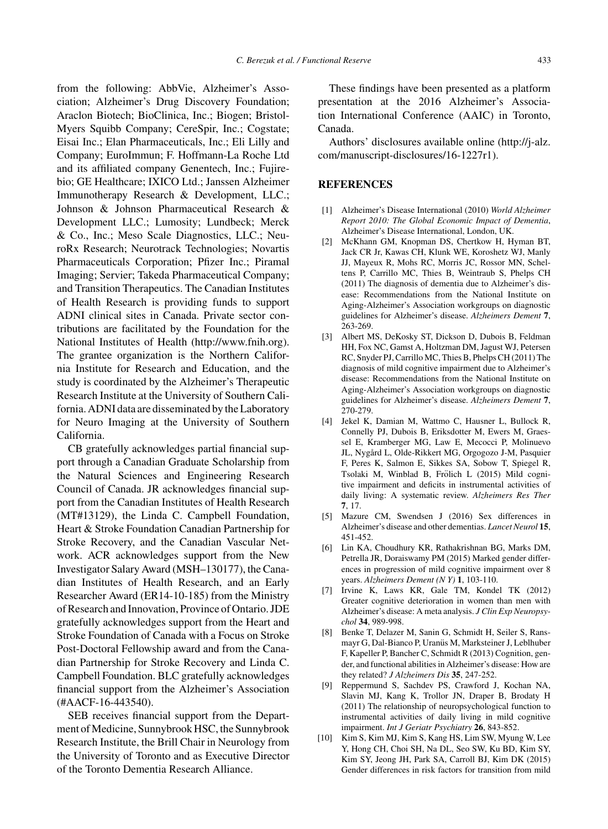from the following: AbbVie, Alzheimer's Association; Alzheimer's Drug Discovery Foundation; Araclon Biotech; BioClinica, Inc.; Biogen; Bristol-Myers Squibb Company; CereSpir, Inc.; Cogstate; Eisai Inc.; Elan Pharmaceuticals, Inc.; Eli Lilly and Company; EuroImmun; F. Hoffmann-La Roche Ltd and its affiliated company Genentech, Inc.; Fujirebio; GE Healthcare; IXICO Ltd.; Janssen Alzheimer Immunotherapy Research & Development, LLC.; Johnson & Johnson Pharmaceutical Research & Development LLC.; Lumosity; Lundbeck; Merck & Co., Inc.; Meso Scale Diagnostics, LLC.; NeuroRx Research; Neurotrack Technologies; Novartis Pharmaceuticals Corporation; Pfizer Inc.; Piramal Imaging; Servier; Takeda Pharmaceutical Company; and Transition Therapeutics. The Canadian Institutes of Health Research is providing funds to support ADNI clinical sites in Canada. Private sector contributions are facilitated by the Foundation for the National Institutes of Health ([http://www.fnih.org\)](http://www.fnih.org). The grantee organization is the Northern California Institute for Research and Education, and the study is coordinated by the Alzheimer's Therapeutic Research Institute at the University of Southern California. ADNI data are disseminated by the Laboratory for Neuro Imaging at the University of Southern California.

CB gratefully acknowledges partial financial support through a Canadian Graduate Scholarship from the Natural Sciences and Engineering Research Council of Canada. JR acknowledges financial support from the Canadian Institutes of Health Research (MT#13129), the Linda C. Campbell Foundation, Heart & Stroke Foundation Canadian Partnership for Stroke Recovery, and the Canadian Vascular Network. ACR acknowledges support from the New Investigator Salary Award (MSH–130177), the Canadian Institutes of Health Research, and an Early Researcher Award (ER14-10-185) from the Ministry of Research and Innovation, Province of Ontario. JDE gratefully acknowledges support from the Heart and Stroke Foundation of Canada with a Focus on Stroke Post-Doctoral Fellowship award and from the Canadian Partnership for Stroke Recovery and Linda C. Campbell Foundation. BLC gratefully acknowledges financial support from the Alzheimer's Association (#AACF-16-443540).

SEB receives financial support from the Department of Medicine, Sunnybrook HSC, the Sunnybrook Research Institute, the Brill Chair in Neurology from the University of Toronto and as Executive Director of the Toronto Dementia Research Alliance.

These findings have been presented as a platform presentation at the 2016 Alzheimer's Association International Conference (AAIC) in Toronto, Canada.

Authors' disclosures available online [\(http://j-alz.](http://j-alz.com/manuscript-disclosures/16-1227r1) [com/manuscript-disclosures/16-1227r1\)](http://j-alz.com/manuscript-disclosures/16-1227r1).

#### **REFERENCES**

- [1] Alzheimer's Disease International (2010) *World Alzheimer Report 2010: The Global Economic Impact of Dementia*, Alzheimer's Disease International, London, UK.
- [2] McKhann GM, Knopman DS, Chertkow H, Hyman BT, Jack CR Jr, Kawas CH, Klunk WE, Koroshetz WJ, Manly JJ, Mayeux R, Mohs RC, Morris JC, Rossor MN, Scheltens P, Carrillo MC, Thies B, Weintraub S, Phelps CH (2011) The diagnosis of dementia due to Alzheimer's disease: Recommendations from the National Institute on Aging-Alzheimer's Association workgroups on diagnostic guidelines for Alzheimer's disease. *Alzheimers Dement* **7**, 263-269.
- [3] Albert MS, DeKosky ST, Dickson D, Dubois B, Feldman HH, Fox NC, Gamst A, Holtzman DM, Jagust WJ, Petersen RC, Snyder PJ, Carrillo MC, Thies B, Phelps CH (2011) The diagnosis of mild cognitive impairment due to Alzheimer's disease: Recommendations from the National Institute on Aging-Alzheimer's Association workgroups on diagnostic guidelines for Alzheimer's disease. *Alzheimers Dement* **7**, 270-279.
- [4] Jekel K, Damian M, Wattmo C, Hausner L, Bullock R, Connelly PJ, Dubois B, Eriksdotter M, Ewers M, Graessel E, Kramberger MG, Law E, Mecocci P, Molinuevo JL, Nygård L, Olde-Rikkert MG, Orgogozo J-M, Pasquier F, Peres K, Salmon E, Sikkes SA, Sobow T, Spiegel R, Tsolaki M, Winblad B, Frölich L (2015) Mild cognitive impairment and deficits in instrumental activities of daily living: A systematic review. *Alzheimers Res Ther* **7**, 17.
- [5] Mazure CM, Swendsen J (2016) Sex differences in Alzheimer's disease and other dementias. *Lancet Neurol* **15**, 451-452.
- [6] Lin KA, Choudhury KR, Rathakrishnan BG, Marks DM, Petrella JR, Doraiswamy PM (2015) Marked gender differences in progression of mild cognitive impairment over 8 years. *Alzheimers Dement (N Y)* **1**, 103-110.
- [7] Irvine K, Laws KR, Gale TM, Kondel TK (2012) Greater cognitive deterioration in women than men with Alzheimer's disease: A meta analysis. *J Clin Exp Neuropsychol* **34**, 989-998.
- [8] Benke T, Delazer M, Sanin G, Schmidt H, Seiler S, Ransmayr G, Dal-Bianco P, Uranüs M, Marksteiner J, Leblhuber F, Kapeller P, Bancher C, Schmidt R (2013) Cognition, gender, and functional abilities in Alzheimer's disease: How are they related? *J Alzheimers Dis* **35**, 247-252.
- [9] Reppermund S, Sachdev PS, Crawford J, Kochan NA, Slavin MJ, Kang K, Trollor JN, Draper B, Brodaty H (2011) The relationship of neuropsychological function to instrumental activities of daily living in mild cognitive impairment. *Int J Geriatr Psychiatry* **26**, 843-852.
- [10] Kim S, Kim MJ, Kim S, Kang HS, Lim SW, Myung W, Lee Y, Hong CH, Choi SH, Na DL, Seo SW, Ku BD, Kim SY, Kim SY, Jeong JH, Park SA, Carroll BJ, Kim DK (2015) Gender differences in risk factors for transition from mild